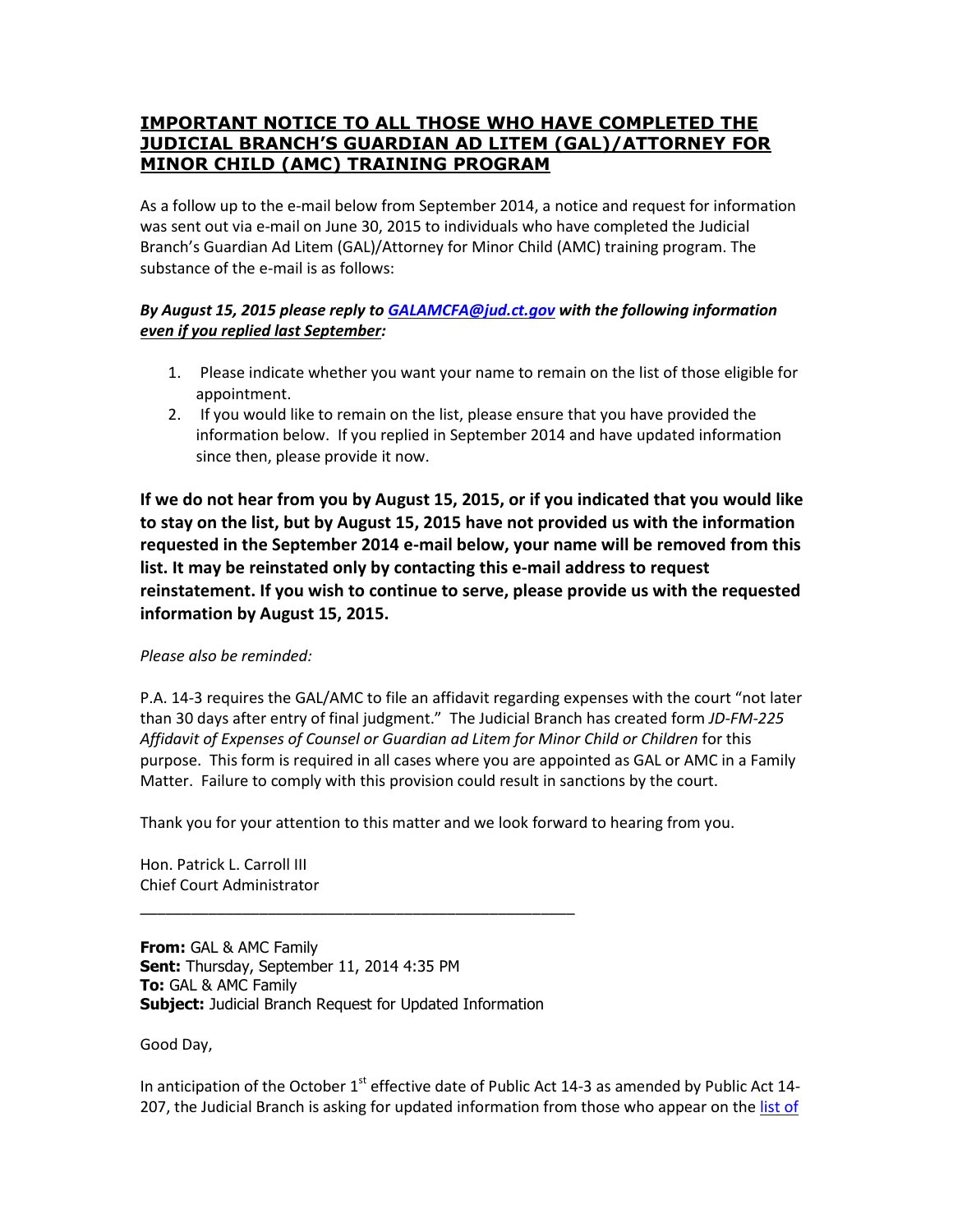## **IMPORTANT NOTICE TO ALL THOSE WHO HAVE COMPLETED THE JUDICIAL BRANCH'S GUARDIAN AD LITEM (GAL)/ATTORNEY FOR MINOR CHILD (AMC) TRAINING PROGRAM**

As a follow up to the e-mail below from September 2014, a notice and request for information was sent out via e-mail on June 30, 2015 to individuals who have completed the Judicial Branch's Guardian Ad Litem (GAL)/Attorney for Minor Child (AMC) training program. The substance of the e-mail is as follows:

## *By August 15, 2015 please reply to [GALAMCFA@jud.ct.gov](mailto:GALAMCFA@jud.ct.gov) with the following information even if you replied last September:*

- 1. Please indicate whether you want your name to remain on the list of those eligible for appointment.
- 2. If you would like to remain on the list, please ensure that you have provided the information below. If you replied in September 2014 and have updated information since then, please provide it now.

**If we do not hear from you by August 15, 2015, or if you indicated that you would like to stay on the list, but by August 15, 2015 have not provided us with the information requested in the September 2014 e-mail below, your name will be removed from this list. It may be reinstated only by contacting this e-mail address to request reinstatement. If you wish to continue to serve, please provide us with the requested information by August 15, 2015.**

## *Please also be reminded:*

P.A. 14-3 requires the GAL/AMC to file an affidavit regarding expenses with the court "not later than 30 days after entry of final judgment." The Judicial Branch has created form *JD-FM-225 Affidavit of Expenses of Counsel or Guardian ad Litem for Minor Child or Children* for this purpose. This form is required in all cases where you are appointed as GAL or AMC in a Family Matter. Failure to comply with this provision could result in sanctions by the court.

Thank you for your attention to this matter and we look forward to hearing from you.

Hon. Patrick L. Carroll III Chief Court Administrator

**From:** GAL & AMC Family **Sent:** Thursday, September 11, 2014 4:35 PM **To:** GAL & AMC Family **Subject:** Judicial Branch Request for Updated Information

\_\_\_\_\_\_\_\_\_\_\_\_\_\_\_\_\_\_\_\_\_\_\_\_\_\_\_\_\_\_\_\_\_\_\_\_\_\_\_\_\_\_\_\_\_\_\_\_\_\_\_

Good Day,

In anticipation of the October  $1<sup>st</sup>$  effective date of Public Act 14-3 as amended by Public Act 14-207, the Judicial Branch is asking for updated information from those who appear on the list of